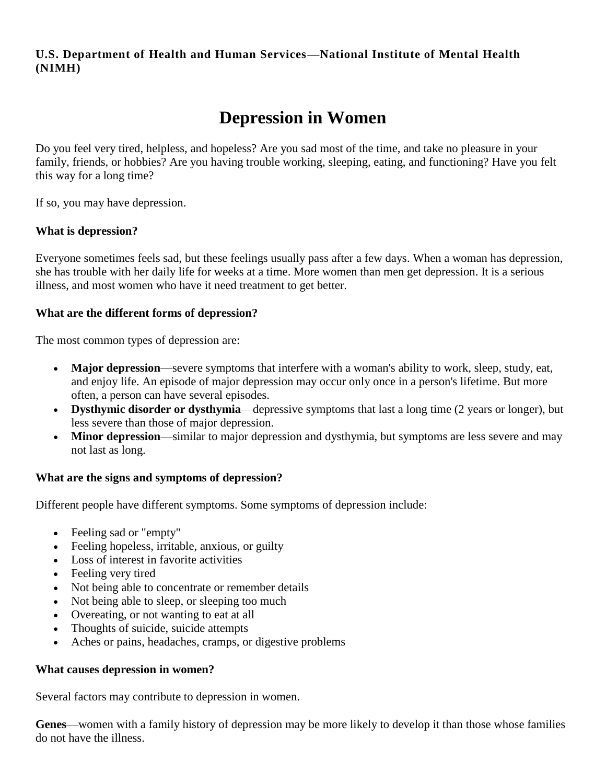# **U.S. Department of Health and Human Services—National Institute of Mental Health (NIMH)**

# **Depression in Women**

Do you feel very tired, helpless, and hopeless? Are you sad most of the time, and take no pleasure in your family, friends, or hobbies? Are you having trouble working, sleeping, eating, and functioning? Have you felt this way for a long time?

If so, you may have depression.

## **What is depression?**

Everyone sometimes feels sad, but these feelings usually pass after a few days. When a woman has depression, she has trouble with her daily life for weeks at a time. More women than men get depression. It is a serious illness, and most women who have it need treatment to get better.

#### **What are the different forms of depression?**

The most common types of depression are:

- **Major depression**—severe symptoms that interfere with a woman's ability to work, sleep, study, eat, and enjoy life. An episode of major depression may occur only once in a person's lifetime. But more often, a person can have several episodes.
- **Dysthymic disorder or dysthymia—depressive symptoms that last a long time (2 years or longer), but** less severe than those of major depression.
- Minor depression—similar to major depression and dysthymia, but symptoms are less severe and may not last as long.

#### **What are the signs and symptoms of depression?**

Different people have different symptoms. Some symptoms of depression include:

- Feeling sad or "empty"
- Feeling hopeless, irritable, anxious, or guilty
- Loss of interest in favorite activities
- Feeling very tired
- Not being able to concentrate or remember details
- Not being able to sleep, or sleeping too much
- Overeating, or not wanting to eat at all
- Thoughts of suicide, suicide attempts
- Aches or pains, headaches, cramps, or digestive problems

#### **What causes depression in women?**

Several factors may contribute to depression in women.

**Genes**—women with a family history of depression may be more likely to develop it than those whose families do not have the illness.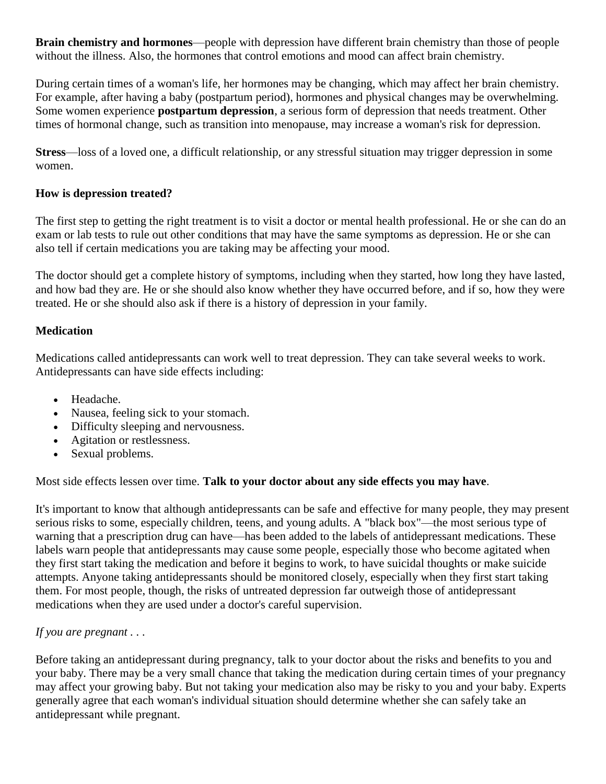**Brain chemistry and hormones**—people with depression have different brain chemistry than those of people without the illness. Also, the hormones that control emotions and mood can affect brain chemistry.

During certain times of a woman's life, her hormones may be changing, which may affect her brain chemistry. For example, after having a baby (postpartum period), hormones and physical changes may be overwhelming. Some women experience **postpartum depression**, a serious form of depression that needs treatment. Other times of hormonal change, such as transition into menopause, may increase a woman's risk for depression.

**Stress**—loss of a loved one, a difficult relationship, or any stressful situation may trigger depression in some women.

#### **How is depression treated?**

The first step to getting the right treatment is to visit a doctor or mental health professional. He or she can do an exam or lab tests to rule out other conditions that may have the same symptoms as depression. He or she can also tell if certain medications you are taking may be affecting your mood.

The doctor should get a complete history of symptoms, including when they started, how long they have lasted, and how bad they are. He or she should also know whether they have occurred before, and if so, how they were treated. He or she should also ask if there is a history of depression in your family.

#### **Medication**

Medications called antidepressants can work well to treat depression. They can take several weeks to work. Antidepressants can have side effects including:

- Headache.
- Nausea, feeling sick to your stomach.
- Difficulty sleeping and nervousness.
- Agitation or restlessness.
- Sexual problems.

Most side effects lessen over time. **Talk to your doctor about any side effects you may have**.

It's important to know that although antidepressants can be safe and effective for many people, they may present serious risks to some, especially children, teens, and young adults. A "black box"—the most serious type of warning that a prescription drug can have—has been added to the labels of antidepressant medications. These labels warn people that antidepressants may cause some people, especially those who become agitated when they first start taking the medication and before it begins to work, to have suicidal thoughts or make suicide attempts. Anyone taking antidepressants should be monitored closely, especially when they first start taking them. For most people, though, the risks of untreated depression far outweigh those of antidepressant medications when they are used under a doctor's careful supervision.

## *If you are pregnant . . .*

Before taking an antidepressant during pregnancy, talk to your doctor about the risks and benefits to you and your baby. There may be a very small chance that taking the medication during certain times of your pregnancy may affect your growing baby. But not taking your medication also may be risky to you and your baby. Experts generally agree that each woman's individual situation should determine whether she can safely take an antidepressant while pregnant.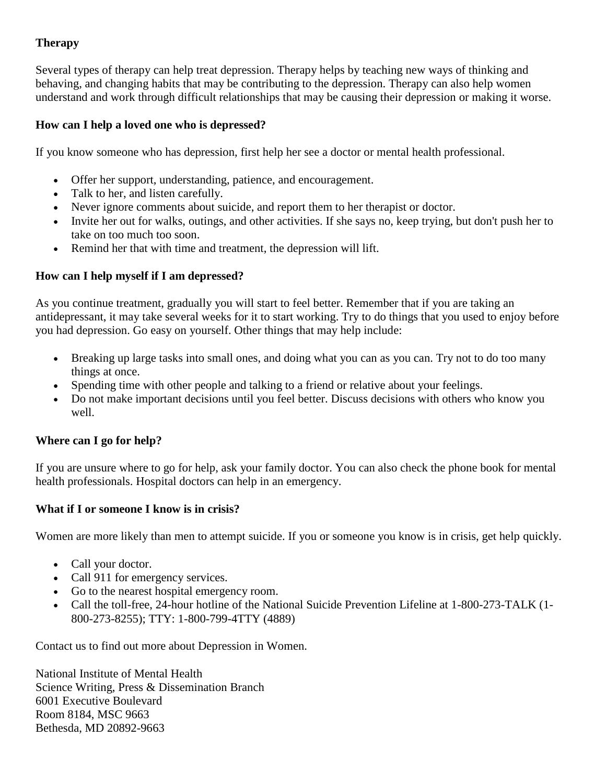# **Therapy**

Several types of therapy can help treat depression. Therapy helps by teaching new ways of thinking and behaving, and changing habits that may be contributing to the depression. Therapy can also help women understand and work through difficult relationships that may be causing their depression or making it worse.

## **How can I help a loved one who is depressed?**

If you know someone who has depression, first help her see a doctor or mental health professional.

- Offer her support, understanding, patience, and encouragement.
- Talk to her, and listen carefully.
- Never ignore comments about suicide, and report them to her therapist or doctor.
- Invite her out for walks, outings, and other activities. If she says no, keep trying, but don't push her to take on too much too soon.
- Remind her that with time and treatment, the depression will lift.

## **How can I help myself if I am depressed?**

As you continue treatment, gradually you will start to feel better. Remember that if you are taking an antidepressant, it may take several weeks for it to start working. Try to do things that you used to enjoy before you had depression. Go easy on yourself. Other things that may help include:

- Breaking up large tasks into small ones, and doing what you can as you can. Try not to do too many things at once.
- Spending time with other people and talking to a friend or relative about your feelings.
- Do not make important decisions until you feel better. Discuss decisions with others who know you well.

# **Where can I go for help?**

If you are unsure where to go for help, ask your family doctor. You can also check the phone book for mental health professionals. Hospital doctors can help in an emergency.

# **What if I or someone I know is in crisis?**

Women are more likely than men to attempt suicide. If you or someone you know is in crisis, get help quickly.

- Call your doctor.
- Call 911 for emergency services.
- Go to the nearest hospital emergency room.
- Call the toll-free, 24-hour hotline of the National Suicide Prevention Lifeline at 1-800-273-TALK (1- 800-273-8255); TTY: 1-800-799-4TTY (4889)

Contact us to find out more about Depression in Women.

National Institute of Mental Health Science Writing, Press & Dissemination Branch 6001 Executive Boulevard Room 8184, MSC 9663 Bethesda, MD 20892-9663